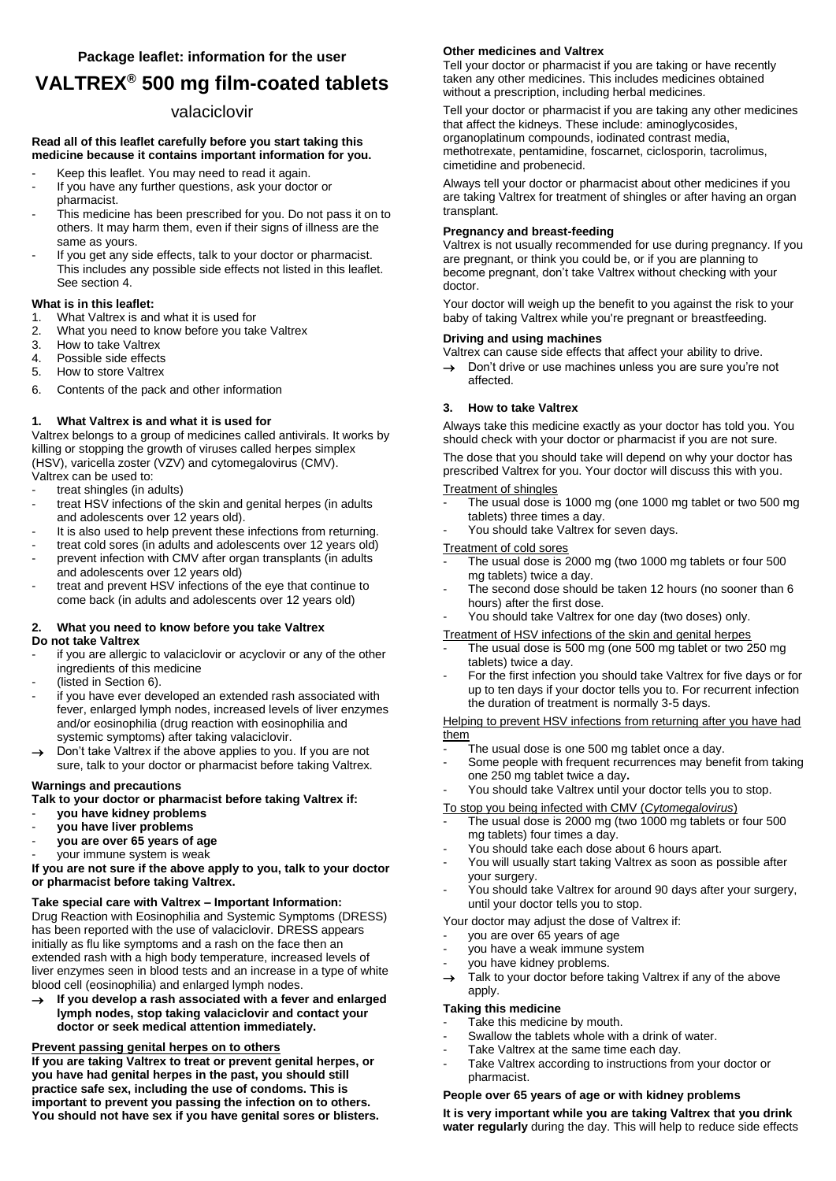# **VALTREX® 500 mg film-coated tablets**

## valaciclovir

#### **Read all of this leaflet carefully before you start taking this medicine because it contains important information for you.**

- Keep this leaflet. You may need to read it again.
- If you have any further questions, ask your doctor or pharmacist.
- This medicine has been prescribed for you. Do not pass it on to others. It may harm them, even if their signs of illness are the same as yours.
- If you get any side effects, talk to your doctor or pharmacist. This includes any possible side effects not listed in this leaflet. See section 4.

#### **What is in this leaflet:**

- 1. What Valtrex is and what it is used for
- 2. What you need to know before you take Valtrex
- 3. How to take Valtrex<br>4. Possible side effects
- Possible side effects
- 5. How to store Valtrex
- 6. Contents of the pack and other information

### **1. What Valtrex is and what it is used for**

Valtrex belongs to a group of medicines called antivirals. It works by killing or stopping the growth of viruses called herpes simplex (HSV), varicella zoster (VZV) and cytomegalovirus (CMV). Valtrex can be used to:

- treat shingles (in adults)
- treat HSV infections of the skin and genital herpes (in adults and adolescents over 12 years old).
- It is also used to help prevent these infections from returning.
- treat cold sores (in adults and adolescents over 12 years old)
- prevent infection with CMV after organ transplants (in adults and adolescents over 12 years old)
- treat and prevent HSV infections of the eye that continue to come back (in adults and adolescents over 12 years old)

#### **2. What you need to know before you take Valtrex Do not take Valtrex**

- if you are allergic to valaciclovir or acyclovir or any of the other ingredients of this medicine
- (listed in Section 6).
- if you have ever developed an extended rash associated with fever, enlarged lymph nodes, increased levels of liver enzymes and/or eosinophilia (drug reaction with eosinophilia and systemic symptoms) after taking valaciclovir.
- Don't take Valtrex if the above applies to you. If you are not sure, talk to your doctor or pharmacist before taking Valtrex.
- **Warnings and precautions**

### **Talk to your doctor or pharmacist before taking Valtrex if:**

- **you have kidney problems**
- **you have liver problems**
- **you are over 65 years of age**
- your immune system is weak

**If you are not sure if the above apply to you, talk to your doctor or pharmacist before taking Valtrex.** 

## **Take special care with Valtrex – Important Information:**

Drug Reaction with Eosinophilia and Systemic Symptoms (DRESS) has been reported with the use of valaciclovir. DRESS appears initially as flu like symptoms and a rash on the face then an extended rash with a high body temperature, increased levels of liver enzymes seen in blood tests and an increase in a type of white blood cell (eosinophilia) and enlarged lymph nodes.

→ If you develop a rash associated with a fever and enlarged **lymph nodes, stop taking valaciclovir and contact your doctor or seek medical attention immediately.** 

## **Prevent passing genital herpes on to others**

**If you are taking Valtrex to treat or prevent genital herpes, or you have had genital herpes in the past, you should still practice safe sex, including the use of condoms. This is important to prevent you passing the infection on to others. You should not have sex if you have genital sores or blisters.** 

## **Other medicines and Valtrex**

Tell your doctor or pharmacist if you are taking or have recently taken any other medicines. This includes medicines obtained without a prescription, including herbal medicines*.* 

Tell your doctor or pharmacist if you are taking any other medicines that affect the kidneys. These include: aminoglycosides, organoplatinum compounds, iodinated contrast media, methotrexate, pentamidine, foscarnet, ciclosporin, tacrolimus, cimetidine and probenecid.

Always tell your doctor or pharmacist about other medicines if you are taking Valtrex for treatment of shingles or after having an organ transplant.

## **Pregnancy and breast-feeding**

Valtrex is not usually recommended for use during pregnancy. If you are pregnant, or think you could be, or if you are planning to become pregnant, don't take Valtrex without checking with your doctor.

Your doctor will weigh up the benefit to you against the risk to your baby of taking Valtrex while you're pregnant or breastfeeding.

## **Driving and using machines**

Valtrex can cause side effects that affect your ability to drive.

 $\rightarrow$  Don't drive or use machines unless you are sure you're not affected.

### **3. How to take Valtrex**

Always take this medicine exactly as your doctor has told you. You should check with your doctor or pharmacist if you are not sure.

The dose that you should take will depend on why your doctor has prescribed Valtrex for you. Your doctor will discuss this with you.

- Treatment of shingles
	- The usual dose is 1000 mg (one 1000 mg tablet or two 500 mg tablets) three times a day.
	- You should take Valtrex for seven days.

#### Treatment of cold sores

- The usual dose is 2000 mg (two 1000 mg tablets or four 500 mg tablets) twice a day.
- The second dose should be taken 12 hours (no sooner than 6 hours) after the first dose.
- You should take Valtrex for one day (two doses) only.

## Treatment of HSV infections of the skin and genital herpes

- The usual dose is 500 mg (one 500 mg tablet or two 250 mg tablets) twice a day.
- For the first infection you should take Valtrex for five days or for up to ten days if your doctor tells you to. For recurrent infection the duration of treatment is normally 3-5 days.

Helping to prevent HSV infections from returning after you have had them

- The usual dose is one 500 mg tablet once a day.
- Some people with frequent recurrences may benefit from taking one 250 mg tablet twice a day**.**
- You should take Valtrex until your doctor tells you to stop.
- To stop you being infected with CMV (*Cytomegalovirus*)
- The usual dose is 2000 mg (two 1000 mg tablets or four 500 mg tablets) four times a day.
- You should take each dose about 6 hours apart.
- You will usually start taking Valtrex as soon as possible after your surgery.
- You should take Valtrex for around 90 days after your surgery, until your doctor tells you to stop.

Your doctor may adjust the dose of Valtrex if:

- you are over 65 years of age
- you have a weak immune system
- you have kidney problems.
- Talk to your doctor before taking Valtrex if any of the above apply.

## **Taking this medicine**

- Take this medicine by mouth.
- Swallow the tablets whole with a drink of water.
- Take Valtrex at the same time each day.
- Take Valtrex according to instructions from your doctor or pharmacist.

## **People over 65 years of age or with kidney problems**

**It is very important while you are taking Valtrex that you drink water regularly** during the day. This will help to reduce side effects